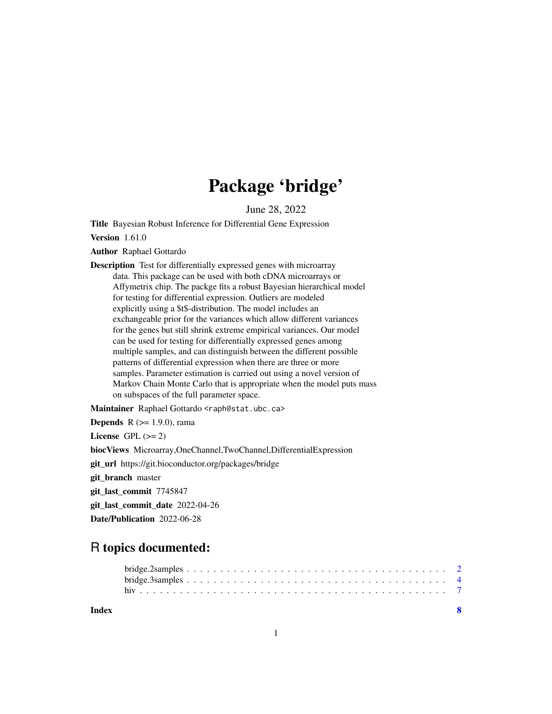## Package 'bridge'

June 28, 2022

Title Bayesian Robust Inference for Differential Gene Expression

Version 1.61.0

Author Raphael Gottardo

Description Test for differentially expressed genes with microarray data. This package can be used with both cDNA microarrays or Affymetrix chip. The packge fits a robust Bayesian hierarchical model for testing for differential expression. Outliers are modeled explicitly using a \$t\$-distribution. The model includes an exchangeable prior for the variances which allow different variances for the genes but still shrink extreme empirical variances. Our model can be used for testing for differentially expressed genes among multiple samples, and can distinguish between the different possible patterns of differential expression when there are three or more samples. Parameter estimation is carried out using a novel version of Markov Chain Monte Carlo that is appropriate when the model puts mass on subspaces of the full parameter space.

Maintainer Raphael Gottardo <raph@stat.ubc.ca>

| <b>Depends</b> $R (= 1.9.0)$ , rama                                   |
|-----------------------------------------------------------------------|
| License $GPL \, (>= 2)$                                               |
| biocViews Microarray, OneChannel, TwoChannel, Differential Expression |
| git_url https://git.bioconductor.org/packages/bridge                  |
| git_branch master                                                     |
| git_last_commit 7745847                                               |
| git_last_commit_date 2022-04-26                                       |
| <b>Date/Publication</b> 2022-06-28                                    |

### R topics documented:

**Index** [8](#page-7-0) **8**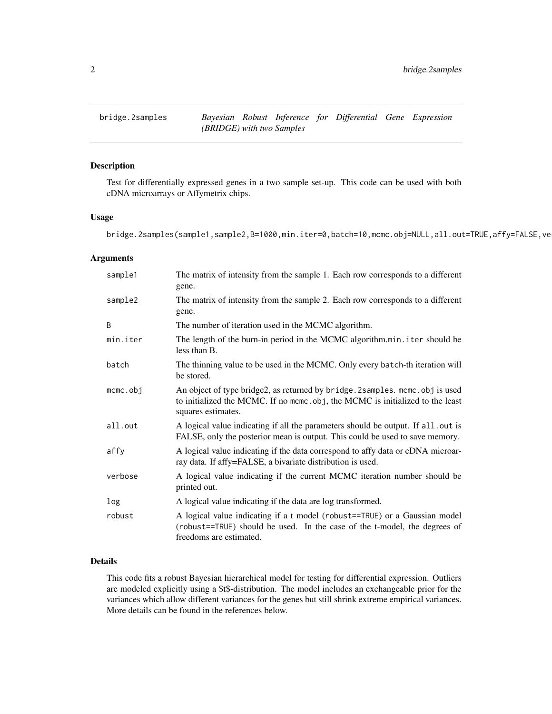<span id="page-1-1"></span><span id="page-1-0"></span>

#### Description

Test for differentially expressed genes in a two sample set-up. This code can be used with both cDNA microarrays or Affymetrix chips.

#### Usage

bridge.2samples(sample1,sample2,B=1000,min.iter=0,batch=10,mcmc.obj=NULL,all.out=TRUE,affy=FALSE,ve

#### Arguments

| sample1     | The matrix of intensity from the sample 1. Each row corresponds to a different<br>gene.                                                                                              |
|-------------|--------------------------------------------------------------------------------------------------------------------------------------------------------------------------------------|
| sample2     | The matrix of intensity from the sample 2. Each row corresponds to a different<br>gene.                                                                                              |
| B           | The number of iteration used in the MCMC algorithm.                                                                                                                                  |
| min.iter    | The length of the burn-in period in the MCMC algorithm.min.iter should be<br>less than B.                                                                                            |
| batch       | The thinning value to be used in the MCMC. Only every batch-th iteration will<br>be stored.                                                                                          |
| $m$ cmc.obj | An object of type bridge2, as returned by bridge. 2samples. mcmc. obj is used<br>to initialized the MCMC. If no mcmc.obj, the MCMC is initialized to the least<br>squares estimates. |
| all.out     | A logical value indicating if all the parameters should be output. If all out is<br>FALSE, only the posterior mean is output. This could be used to save memory.                     |
| affy        | A logical value indicating if the data correspond to affy data or cDNA microar-<br>ray data. If affy=FALSE, a bivariate distribution is used.                                        |
| verbose     | A logical value indicating if the current MCMC iteration number should be<br>printed out.                                                                                            |
| log         | A logical value indicating if the data are log transformed.                                                                                                                          |
| robust      | A logical value indicating if a t model (robust==TRUE) or a Gaussian model<br>(robust==TRUE) should be used. In the case of the t-model, the degrees of<br>freedoms are estimated.   |

#### Details

This code fits a robust Bayesian hierarchical model for testing for differential expression. Outliers are modeled explicitly using a \$t\$-distribution. The model includes an exchangeable prior for the variances which allow different variances for the genes but still shrink extreme empirical variances. More details can be found in the references below.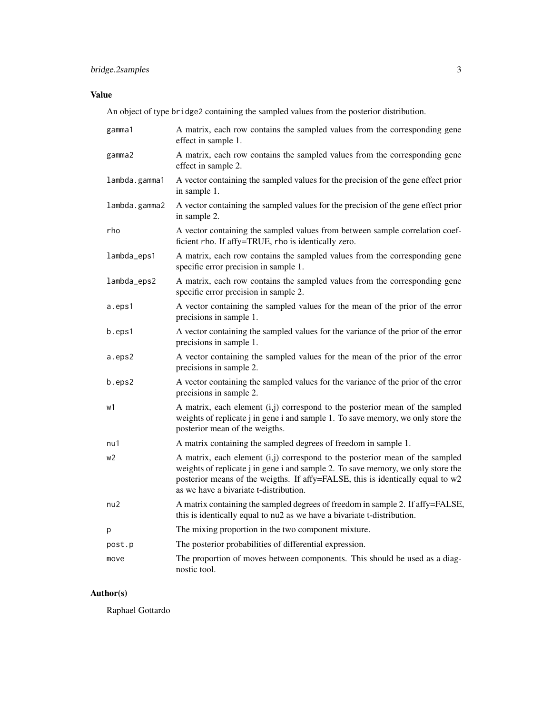#### Value

An object of type bridge2 containing the sampled values from the posterior distribution.

| gamma1        | A matrix, each row contains the sampled values from the corresponding gene<br>effect in sample 1.                                                                                                                                                                                            |
|---------------|----------------------------------------------------------------------------------------------------------------------------------------------------------------------------------------------------------------------------------------------------------------------------------------------|
| gamma2        | A matrix, each row contains the sampled values from the corresponding gene<br>effect in sample 2.                                                                                                                                                                                            |
| lambda.gamma1 | A vector containing the sampled values for the precision of the gene effect prior<br>in sample 1.                                                                                                                                                                                            |
| lambda.gamma2 | A vector containing the sampled values for the precision of the gene effect prior<br>in sample 2.                                                                                                                                                                                            |
| rho           | A vector containing the sampled values from between sample correlation coef-<br>ficient rho. If affy=TRUE, rho is identically zero.                                                                                                                                                          |
| lambda_eps1   | A matrix, each row contains the sampled values from the corresponding gene<br>specific error precision in sample 1.                                                                                                                                                                          |
| lambda_eps2   | A matrix, each row contains the sampled values from the corresponding gene<br>specific error precision in sample 2.                                                                                                                                                                          |
| a.eps1        | A vector containing the sampled values for the mean of the prior of the error<br>precisions in sample 1.                                                                                                                                                                                     |
| b.eps1        | A vector containing the sampled values for the variance of the prior of the error<br>precisions in sample 1.                                                                                                                                                                                 |
| a.eps2        | A vector containing the sampled values for the mean of the prior of the error<br>precisions in sample 2.                                                                                                                                                                                     |
| b.eps2        | A vector containing the sampled values for the variance of the prior of the error<br>precisions in sample 2.                                                                                                                                                                                 |
| w1            | A matrix, each element (i,j) correspond to the posterior mean of the sampled<br>weights of replicate j in gene i and sample 1. To save memory, we only store the<br>posterior mean of the weigths.                                                                                           |
| nu1           | A matrix containing the sampled degrees of freedom in sample 1.                                                                                                                                                                                                                              |
| w2            | A matrix, each element (i,j) correspond to the posterior mean of the sampled<br>weights of replicate j in gene i and sample 2. To save memory, we only store the<br>posterior means of the weigths. If affy=FALSE, this is identically equal to w2<br>as we have a bivariate t-distribution. |
| nu2           | A matrix containing the sampled degrees of freedom in sample 2. If affy=FALSE,<br>this is identically equal to nu2 as we have a bivariate t-distribution.                                                                                                                                    |
| р             | The mixing proportion in the two component mixture.                                                                                                                                                                                                                                          |
| post.p        | The posterior probabilities of differential expression.                                                                                                                                                                                                                                      |
| move          | The proportion of moves between components. This should be used as a diag-<br>nostic tool.                                                                                                                                                                                                   |

#### Author(s)

Raphael Gottardo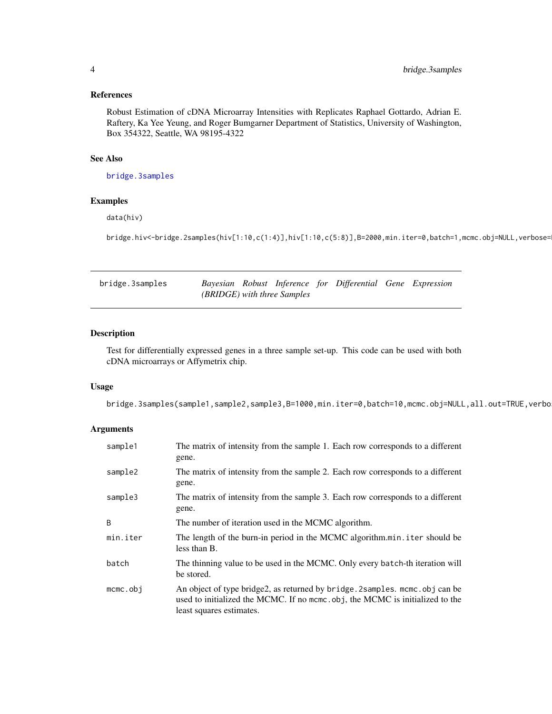#### <span id="page-3-0"></span>References

Robust Estimation of cDNA Microarray Intensities with Replicates Raphael Gottardo, Adrian E. Raftery, Ka Yee Yeung, and Roger Bumgarner Department of Statistics, University of Washington, Box 354322, Seattle, WA 98195-4322

#### See Also

[bridge.3samples](#page-3-1)

#### Examples

data(hiv)

bridge.hiv<-bridge.2samples(hiv[1:10,c(1:4)],hiv[1:10,c(5:8)],B=2000,min.iter=0,batch=1,mcmc.obj=NULL,verbose=

<span id="page-3-1"></span>

| bridge.3samples |  |                                    | Bayesian Robust Inference for Differential Gene Expression |  |
|-----------------|--|------------------------------------|------------------------------------------------------------|--|
|                 |  | <i>(BRIDGE)</i> with three Samples |                                                            |  |

#### Description

Test for differentially expressed genes in a three sample set-up. This code can be used with both cDNA microarrays or Affymetrix chip.

#### Usage

bridge.3samples(sample1,sample2,sample3,B=1000,min.iter=0,batch=10,mcmc.obj=NULL,all.out=TRUE,verbo

#### Arguments

| sample1     | The matrix of intensity from the sample 1. Each row corresponds to a different<br>gene.                                                                                                   |
|-------------|-------------------------------------------------------------------------------------------------------------------------------------------------------------------------------------------|
| sample2     | The matrix of intensity from the sample 2. Each row corresponds to a different<br>gene.                                                                                                   |
| sample3     | The matrix of intensity from the sample 3. Each row corresponds to a different<br>gene.                                                                                                   |
| B           | The number of iteration used in the MCMC algorithm.                                                                                                                                       |
| min.iter    | The length of the burn-in period in the MCMC algorithm.min.iter should be<br>less than B.                                                                                                 |
| batch       | The thinning value to be used in the MCMC. Only every batch-th iteration will<br>be stored.                                                                                               |
| $m$ cmc.obj | An object of type bridge2, as returned by bridge. 2 samples. mcmc. obj can be<br>used to initialized the MCMC. If no mcmc.obj, the MCMC is initialized to the<br>least squares estimates. |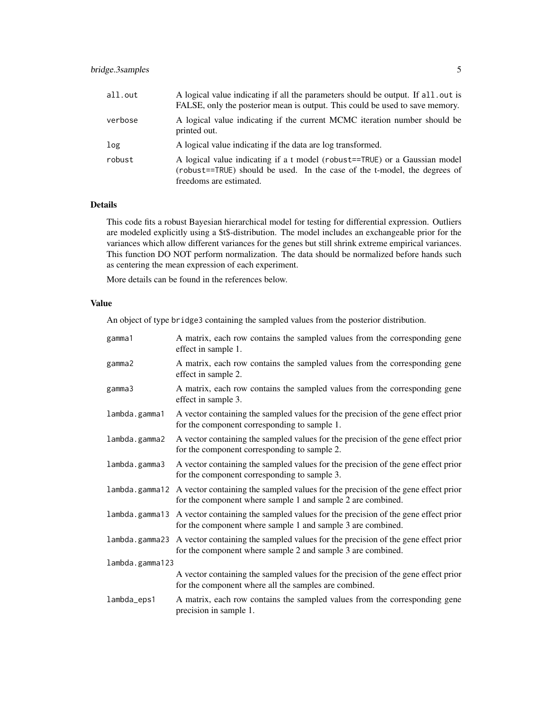#### bridge.3samples 5

| all.out | A logical value indicating if all the parameters should be output. If all, out is<br>FALSE, only the posterior mean is output. This could be used to save memory.                  |
|---------|------------------------------------------------------------------------------------------------------------------------------------------------------------------------------------|
| verbose | A logical value indicating if the current MCMC iteration number should be<br>printed out.                                                                                          |
| log     | A logical value indicating if the data are log transformed.                                                                                                                        |
| robust  | A logical value indicating if a t model (robust==TRUE) or a Gaussian model<br>(robust==TRUE) should be used. In the case of the t-model, the degrees of<br>freedoms are estimated. |

#### Details

This code fits a robust Bayesian hierarchical model for testing for differential expression. Outliers are modeled explicitly using a \$t\$-distribution. The model includes an exchangeable prior for the variances which allow different variances for the genes but still shrink extreme empirical variances. This function DO NOT perform normalization. The data should be normalized before hands such as centering the mean expression of each experiment.

More details can be found in the references below.

#### Value

An object of type bridge3 containing the sampled values from the posterior distribution.

| gamma1          | A matrix, each row contains the sampled values from the corresponding gene<br>effect in sample 1.                                                               |
|-----------------|-----------------------------------------------------------------------------------------------------------------------------------------------------------------|
| gamma2          | A matrix, each row contains the sampled values from the corresponding gene<br>effect in sample 2.                                                               |
| gamma3          | A matrix, each row contains the sampled values from the corresponding gene<br>effect in sample 3.                                                               |
| lambda.gamma1   | A vector containing the sampled values for the precision of the gene effect prior<br>for the component corresponding to sample 1.                               |
| lambda.gamma2   | A vector containing the sampled values for the precision of the gene effect prior<br>for the component corresponding to sample 2.                               |
| lambda.gamma3   | A vector containing the sampled values for the precision of the gene effect prior<br>for the component corresponding to sample 3.                               |
|                 | lambda.gamma12 A vector containing the sampled values for the precision of the gene effect prior<br>for the component where sample 1 and sample 2 are combined. |
|                 | lambda.gamma13 A vector containing the sampled values for the precision of the gene effect prior<br>for the component where sample 1 and sample 3 are combined. |
| lambda.gamma23  | A vector containing the sampled values for the precision of the gene effect prior<br>for the component where sample 2 and sample 3 are combined.                |
| lambda.gamma123 |                                                                                                                                                                 |
|                 | A vector containing the sampled values for the precision of the gene effect prior<br>for the component where all the samples are combined.                      |
| lambda_eps1     | A matrix, each row contains the sampled values from the corresponding gene<br>precision in sample 1.                                                            |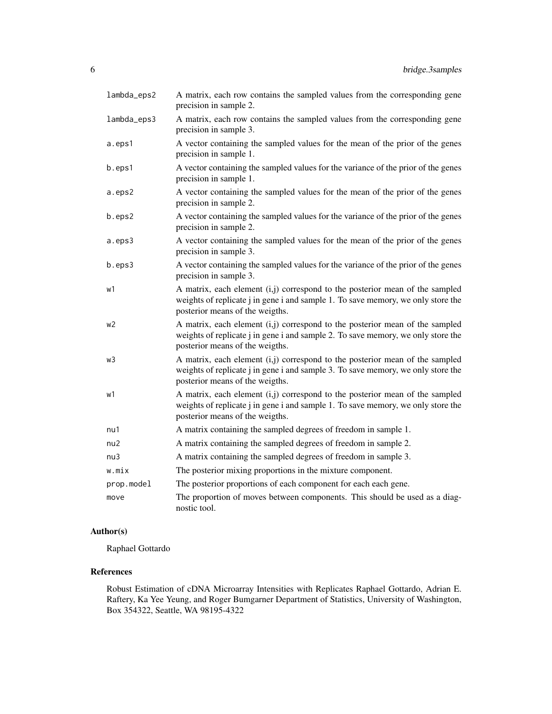| lambda_eps2 | A matrix, each row contains the sampled values from the corresponding gene<br>precision in sample 2.                                                                                                |
|-------------|-----------------------------------------------------------------------------------------------------------------------------------------------------------------------------------------------------|
| lambda_eps3 | A matrix, each row contains the sampled values from the corresponding gene<br>precision in sample 3.                                                                                                |
| a.eps1      | A vector containing the sampled values for the mean of the prior of the genes<br>precision in sample 1.                                                                                             |
| b.eps1      | A vector containing the sampled values for the variance of the prior of the genes<br>precision in sample 1.                                                                                         |
| a.eps2      | A vector containing the sampled values for the mean of the prior of the genes<br>precision in sample 2.                                                                                             |
| b.eps2      | A vector containing the sampled values for the variance of the prior of the genes<br>precision in sample 2.                                                                                         |
| a.eps3      | A vector containing the sampled values for the mean of the prior of the genes<br>precision in sample 3.                                                                                             |
| b.eps3      | A vector containing the sampled values for the variance of the prior of the genes<br>precision in sample 3.                                                                                         |
| w1          | A matrix, each element (i,j) correspond to the posterior mean of the sampled<br>weights of replicate j in gene i and sample 1. To save memory, we only store the<br>posterior means of the weigths. |
| w2          | A matrix, each element (i,j) correspond to the posterior mean of the sampled<br>weights of replicate j in gene i and sample 2. To save memory, we only store the<br>posterior means of the weigths. |
| wЗ          | A matrix, each element (i,j) correspond to the posterior mean of the sampled<br>weights of replicate j in gene i and sample 3. To save memory, we only store the<br>posterior means of the weigths. |
| w1          | A matrix, each element (i,j) correspond to the posterior mean of the sampled<br>weights of replicate j in gene i and sample 1. To save memory, we only store the<br>posterior means of the weigths. |
| nu1         | A matrix containing the sampled degrees of freedom in sample 1.                                                                                                                                     |
| nu2         | A matrix containing the sampled degrees of freedom in sample 2.                                                                                                                                     |
| nu3         | A matrix containing the sampled degrees of freedom in sample 3.                                                                                                                                     |
| w.mix       | The posterior mixing proportions in the mixture component.                                                                                                                                          |
| prop.model  | The posterior proportions of each component for each each gene.                                                                                                                                     |
| move        | The proportion of moves between components. This should be used as a diag-<br>nostic tool.                                                                                                          |

#### Author(s)

Raphael Gottardo

#### References

Robust Estimation of cDNA Microarray Intensities with Replicates Raphael Gottardo, Adrian E. Raftery, Ka Yee Yeung, and Roger Bumgarner Department of Statistics, University of Washington, Box 354322, Seattle, WA 98195-4322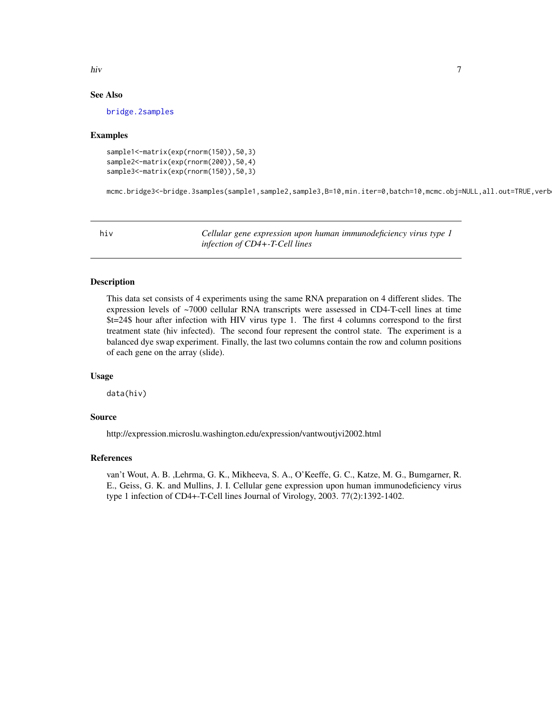<span id="page-6-0"></span>hiv and the state of the state of the state of the state of the state of the state of the state of the state of the state of the state of the state of the state of the state of the state of the state of the state of the st

#### See Also

[bridge.2samples](#page-1-1)

#### Examples

sample1<-matrix(exp(rnorm(150)),50,3) sample2<-matrix(exp(rnorm(200)),50,4) sample3<-matrix(exp(rnorm(150)),50,3)

mcmc.bridge3<-bridge.3samples(sample1,sample2,sample3,B=10,min.iter=0,batch=10,mcmc.obj=NULL,all.out=TRUE,verb

hiv *Cellular gene expression upon human immunodeficiency virus type 1 infection of CD4+-T-Cell lines*

#### **Description**

This data set consists of 4 experiments using the same RNA preparation on 4 different slides. The expression levels of ~7000 cellular RNA transcripts were assessed in CD4-T-cell lines at time \$t=24\$ hour after infection with HIV virus type 1. The first 4 columns correspond to the first treatment state (hiv infected). The second four represent the control state. The experiment is a balanced dye swap experiment. Finally, the last two columns contain the row and column positions of each gene on the array (slide).

#### Usage

data(hiv)

#### Source

http://expression.microslu.washington.edu/expression/vantwoutjvi2002.html

#### References

van't Wout, A. B. ,Lehrma, G. K., Mikheeva, S. A., O'Keeffe, G. C., Katze, M. G., Bumgarner, R. E., Geiss, G. K. and Mullins, J. I. Cellular gene expression upon human immunodeficiency virus type 1 infection of CD4+-T-Cell lines Journal of Virology, 2003. 77(2):1392-1402.